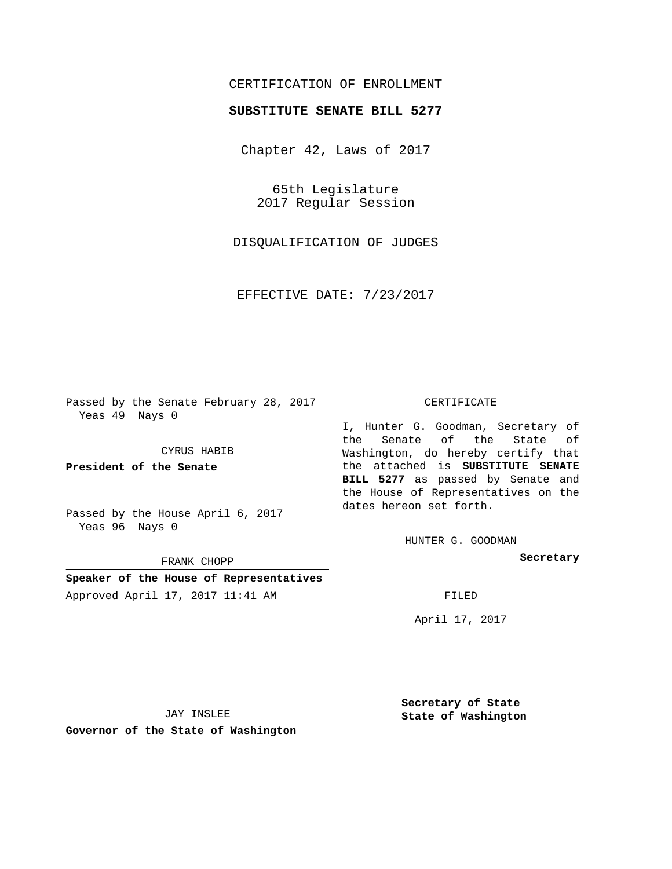## CERTIFICATION OF ENROLLMENT

## **SUBSTITUTE SENATE BILL 5277**

Chapter 42, Laws of 2017

65th Legislature 2017 Regular Session

DISQUALIFICATION OF JUDGES

EFFECTIVE DATE: 7/23/2017

Passed by the Senate February 28, 2017 Yeas 49 Nays 0

CYRUS HABIB

**President of the Senate**

Passed by the House April 6, 2017 Yeas 96 Nays 0

FRANK CHOPP

**Speaker of the House of Representatives** Approved April 17, 2017 11:41 AM FILED

## CERTIFICATE

I, Hunter G. Goodman, Secretary of the Senate of the State of Washington, do hereby certify that the attached is **SUBSTITUTE SENATE BILL 5277** as passed by Senate and the House of Representatives on the dates hereon set forth.

HUNTER G. GOODMAN

**Secretary**

April 17, 2017

JAY INSLEE

**Governor of the State of Washington**

**Secretary of State State of Washington**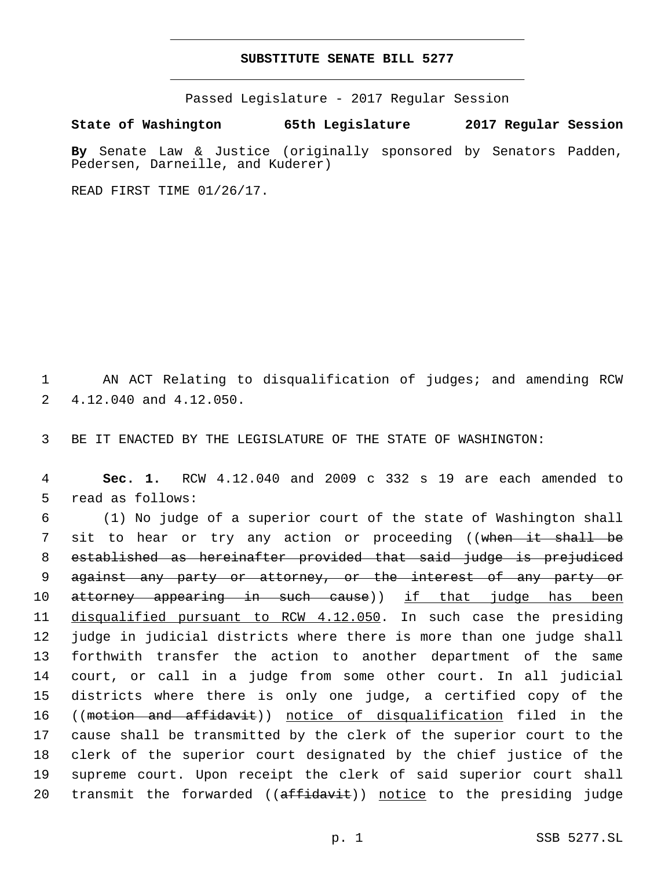## **SUBSTITUTE SENATE BILL 5277**

Passed Legislature - 2017 Regular Session

**State of Washington 65th Legislature 2017 Regular Session**

**By** Senate Law & Justice (originally sponsored by Senators Padden, Pedersen, Darneille, and Kuderer)

READ FIRST TIME 01/26/17.

1 AN ACT Relating to disqualification of judges; and amending RCW 2 4.12.040 and 4.12.050.

3 BE IT ENACTED BY THE LEGISLATURE OF THE STATE OF WASHINGTON:

4 **Sec. 1.** RCW 4.12.040 and 2009 c 332 s 19 are each amended to 5 read as follows:

 (1) No judge of a superior court of the state of Washington shall 7 sit to hear or try any action or proceeding ((when it shall be established as hereinafter provided that said judge is prejudiced against any party or attorney, or the interest of any party or 10 attorney appearing in such cause)) if that judge has been disqualified pursuant to RCW 4.12.050. In such case the presiding judge in judicial districts where there is more than one judge shall forthwith transfer the action to another department of the same court, or call in a judge from some other court. In all judicial districts where there is only one judge, a certified copy of the ((motion and affidavit)) notice of disqualification filed in the cause shall be transmitted by the clerk of the superior court to the clerk of the superior court designated by the chief justice of the supreme court. Upon receipt the clerk of said superior court shall 20 transmit the forwarded ((affidavit)) notice to the presiding judge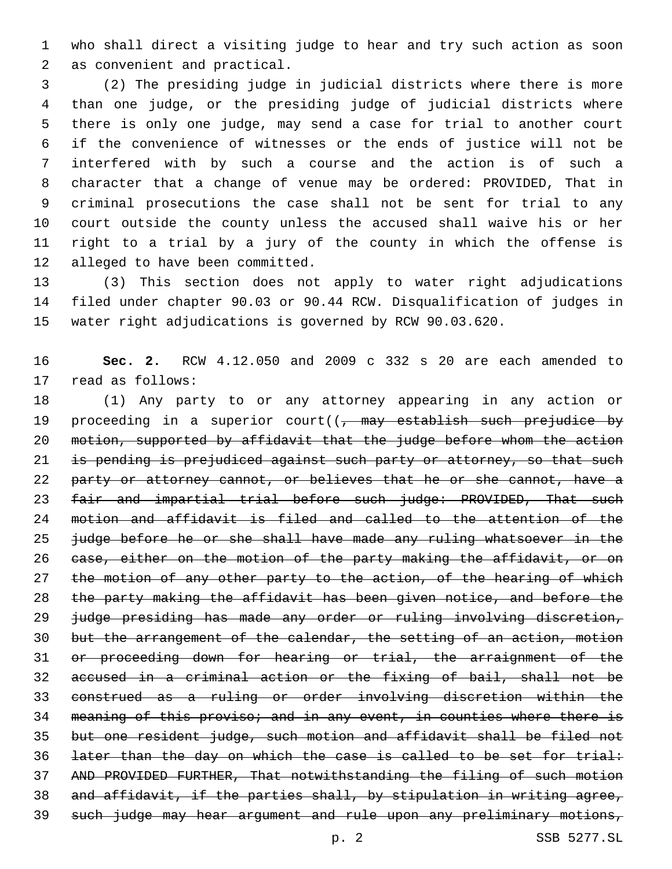who shall direct a visiting judge to hear and try such action as soon 2 as convenient and practical.

 (2) The presiding judge in judicial districts where there is more than one judge, or the presiding judge of judicial districts where there is only one judge, may send a case for trial to another court if the convenience of witnesses or the ends of justice will not be interfered with by such a course and the action is of such a character that a change of venue may be ordered: PROVIDED, That in criminal prosecutions the case shall not be sent for trial to any court outside the county unless the accused shall waive his or her right to a trial by a jury of the county in which the offense is 12 alleged to have been committed.

 (3) This section does not apply to water right adjudications filed under chapter 90.03 or 90.44 RCW. Disqualification of judges in water right adjudications is governed by RCW 90.03.620.

 **Sec. 2.** RCW 4.12.050 and 2009 c 332 s 20 are each amended to 17 read as follows:

 (1) Any party to or any attorney appearing in any action or 19 proceeding in a superior court( $(-$  may establish such prejudice by motion, supported by affidavit that the judge before whom the action 21 is pending is prejudiced against such party or attorney, so that such 22 party or attorney cannot, or believes that he or she cannot, have a 23 fair and impartial trial before such judge: PROVIDED, That such motion and affidavit is filed and called to the attention of the judge before he or she shall have made any ruling whatsoever in the 26 ease, either on the motion of the party making the affidavit, or on 27 the motion of any other party to the action, of the hearing of which the party making the affidavit has been given notice, and before the judge presiding has made any order or ruling involving discretion, but the arrangement of the calendar, the setting of an action, motion or proceeding down for hearing or trial, the arraignment of the accused in a criminal action or the fixing of bail, shall not be construed as a ruling or order involving discretion within the meaning of this proviso; and in any event, in counties where there is but one resident judge, such motion and affidavit shall be filed not later than the day on which the case is called to be set for trial: AND PROVIDED FURTHER, That notwithstanding the filing of such motion and affidavit, if the parties shall, by stipulation in writing agree, such judge may hear argument and rule upon any preliminary motions,